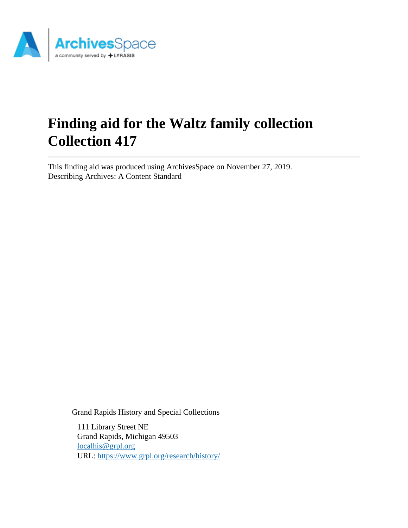

# **Finding aid for the Waltz family collection Collection 417**

This finding aid was produced using ArchivesSpace on November 27, 2019. Describing Archives: A Content Standard

Grand Rapids History and Special Collections

111 Library Street NE Grand Rapids, Michigan 49503 [localhis@grpl.org](mailto:localhis@grpl.org) URL:<https://www.grpl.org/research/history/>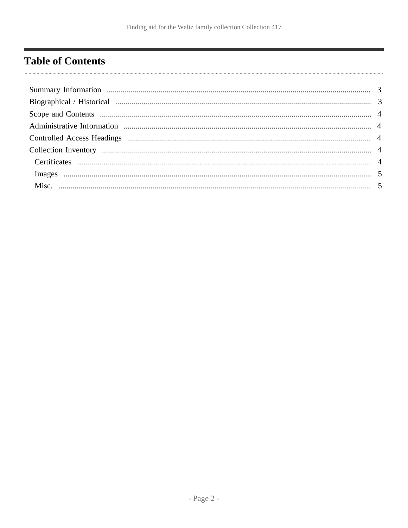## <span id="page-1-0"></span>**Table of Contents**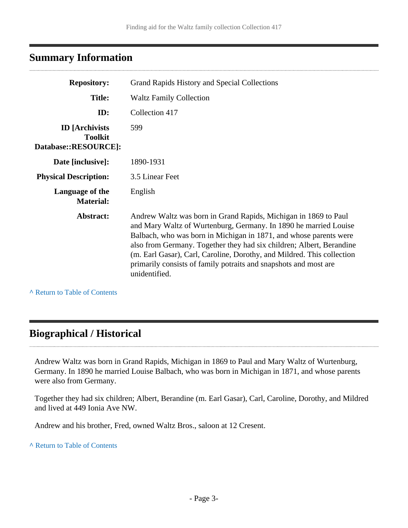## <span id="page-2-0"></span>**Summary Information**

| <b>Repository:</b>                                               | Grand Rapids History and Special Collections                                                                                                                                                                                                                                                                                                                                                                                                    |
|------------------------------------------------------------------|-------------------------------------------------------------------------------------------------------------------------------------------------------------------------------------------------------------------------------------------------------------------------------------------------------------------------------------------------------------------------------------------------------------------------------------------------|
| <b>Title:</b>                                                    | <b>Waltz Family Collection</b>                                                                                                                                                                                                                                                                                                                                                                                                                  |
| ID:                                                              | Collection 417                                                                                                                                                                                                                                                                                                                                                                                                                                  |
| <b>ID</b> [Archivists]<br><b>Toolkit</b><br>Database::RESOURCE]: | 599                                                                                                                                                                                                                                                                                                                                                                                                                                             |
| Date [inclusive]:                                                | 1890-1931                                                                                                                                                                                                                                                                                                                                                                                                                                       |
| <b>Physical Description:</b>                                     | 3.5 Linear Feet                                                                                                                                                                                                                                                                                                                                                                                                                                 |
| Language of the<br><b>Material:</b>                              | English                                                                                                                                                                                                                                                                                                                                                                                                                                         |
| Abstract:                                                        | Andrew Waltz was born in Grand Rapids, Michigan in 1869 to Paul<br>and Mary Waltz of Wurtenburg, Germany. In 1890 he married Louise<br>Balbach, who was born in Michigan in 1871, and whose parents were<br>also from Germany. Together they had six children; Albert, Berandine<br>(m. Earl Gasar), Carl, Caroline, Dorothy, and Mildred. This collection<br>primarily consists of family potraits and snapshots and most are<br>unidentified. |

**^** [Return to Table of Contents](#page-1-0)

. . . . . . . . . . . . . . . .

## <span id="page-2-1"></span>**Biographical / Historical**

Andrew Waltz was born in Grand Rapids, Michigan in 1869 to Paul and Mary Waltz of Wurtenburg, Germany. In 1890 he married Louise Balbach, who was born in Michigan in 1871, and whose parents were also from Germany.

Together they had six children; Albert, Berandine (m. Earl Gasar), Carl, Caroline, Dorothy, and Mildred and lived at 449 Ionia Ave NW.

Andrew and his brother, Fred, owned Waltz Bros., saloon at 12 Cresent.

**^** [Return to Table of Contents](#page-1-0)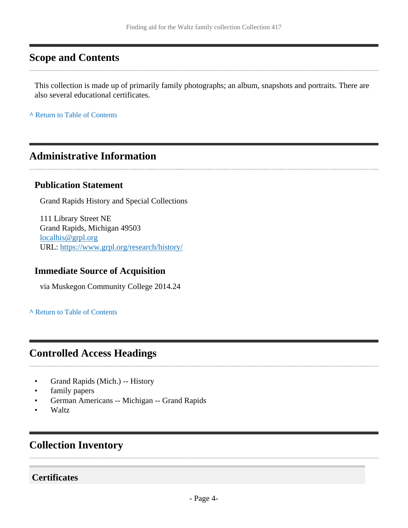## <span id="page-3-0"></span>**Scope and Contents**

This collection is made up of primarily family photographs; an album, snapshots and portraits. There are also several educational certificates.

**^** [Return to Table of Contents](#page-1-0)

## <span id="page-3-1"></span>**Administrative Information**

#### **Publication Statement**

Grand Rapids History and Special Collections

111 Library Street NE Grand Rapids, Michigan 49503 [localhis@grpl.org](mailto:localhis@grpl.org) URL:<https://www.grpl.org/research/history/>

#### **Immediate Source of Acquisition**

via Muskegon Community College 2014.24

**^** [Return to Table of Contents](#page-1-0)

## <span id="page-3-2"></span>**Controlled Access Headings**

- Grand Rapids (Mich.) -- History
- family papers
- German Americans -- Michigan -- Grand Rapids
- Waltz

## <span id="page-3-3"></span>**Collection Inventory**

#### <span id="page-3-4"></span>**Certificates**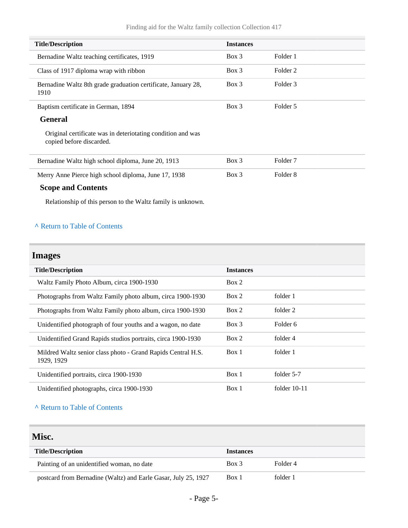| <b>Title/Description</b>                                                                | <b>Instances</b> |                     |
|-----------------------------------------------------------------------------------------|------------------|---------------------|
| Bernadine Waltz teaching certificates, 1919                                             | $Box\ 3$         | Folder 1            |
| Class of 1917 diploma wrap with ribbon                                                  | $Box\ 3$         | Folder 2            |
| Bernadine Waltz 8th grade graduation certificate, January 28,<br>1910                   | $Box\ 3$         | Folder 3            |
| Baptism certificate in German, 1894                                                     | $Box$ 3          | Folder 5            |
| <b>General</b>                                                                          |                  |                     |
| Original certificate was in deteriotating condition and was<br>copied before discarded. |                  |                     |
| Bernadine Waltz high school diploma, June 20, 1913                                      | $Box\ 3$         | Folder <sub>7</sub> |
| Merry Anne Pierce high school diploma, June 17, 1938                                    | $Box\ 3$         | Folder 8            |
| <b>Scope and Contents</b>                                                               |                  |                     |
| Relationship of this person to the Waltz family is unknown.                             |                  |                     |

#### **^** [Return to Table of Contents](#page-1-0)

## <span id="page-4-0"></span>**Images**

| <b>Title/Description</b>                                                   | <b>Instances</b> |                |
|----------------------------------------------------------------------------|------------------|----------------|
| Waltz Family Photo Album, circa 1900-1930                                  | Box 2            |                |
| Photographs from Waltz Family photo album, circa 1900-1930                 | Box 2            | folder 1       |
| Photographs from Waltz Family photo album, circa 1900-1930                 | Box 2            | folder 2       |
| Unidentified photograph of four youths and a wagon, no date                | $Box$ 3          | Folder 6       |
| Unidentified Grand Rapids studios portraits, circa 1900-1930               | Box 2            | folder 4       |
| Mildred Waltz senior class photo - Grand Rapids Central H.S.<br>1929, 1929 | Box 1            | folder 1       |
| Unidentified portraits, circa 1900-1930                                    | Box 1            | folder 5-7     |
| Unidentified photographs, circa 1900-1930                                  | Box 1            | folder $10-11$ |
|                                                                            |                  |                |

#### **^** [Return to Table of Contents](#page-1-0)

#### <span id="page-4-1"></span>**Misc.**

| <b>Title/Description</b>                                       | <b>Instances</b> |          |
|----------------------------------------------------------------|------------------|----------|
| Painting of an unidentified woman, no date                     | Box 3            | Folder 4 |
| postcard from Bernadine (Waltz) and Earle Gasar, July 25, 1927 | Box 1            | folder 1 |